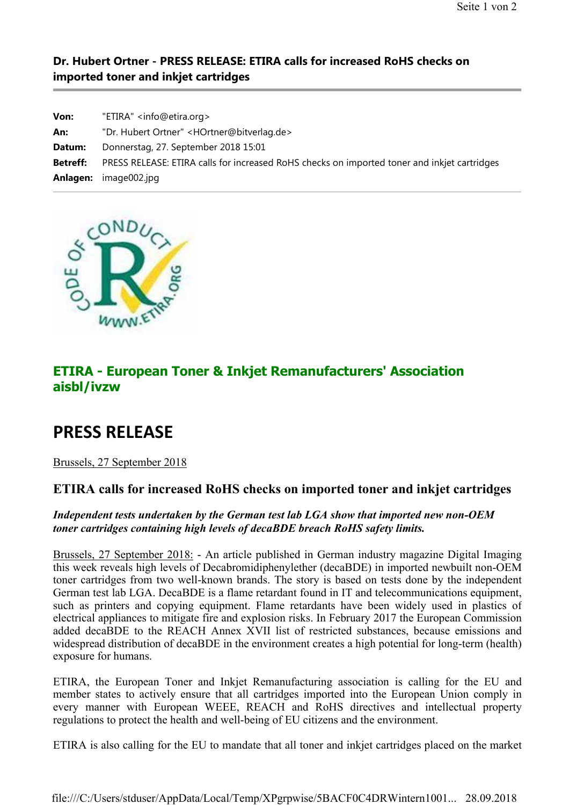### **Dr. Hubert Ortner - PRESS RELEASE: ETIRA calls for increased RoHS checks on imported toner and inkjet cartridges**

| Von:            | "ETIRA" <info@etira.org></info@etira.org>                                                    |
|-----------------|----------------------------------------------------------------------------------------------|
| An:             | "Dr. Hubert Ortner" <hortner@bitverlag.de></hortner@bitverlag.de>                            |
| Datum:          | Donnerstag, 27. September 2018 15:01                                                         |
| <b>Betreff:</b> | PRESS RELEASE: ETIRA calls for increased RoHS checks on imported toner and inkjet cartridges |
| Anlagen:        | image002.jpg                                                                                 |



## **ETIRA - European Toner & Inkjet Remanufacturers' Association aisbl/ivzw**

# **PRESS RELEASE**

Brussels, 27 September 2018

### **ETIRA calls for increased RoHS checks on imported toner and inkjet cartridges**

#### *Independent tests undertaken by the German test lab LGA show that imported new non-OEM toner cartridges containing high levels of decaBDE breach RoHS safety limits.*

Brussels, 27 September 2018: - An article published in German industry magazine Digital Imaging this week reveals high levels of Decabromidiphenylether (decaBDE) in imported newbuilt non-OEM toner cartridges from two well-known brands. The story is based on tests done by the independent German test lab LGA. DecaBDE is a flame retardant found in IT and telecommunications equipment, such as printers and copying equipment. Flame retardants have been widely used in plastics of electrical appliances to mitigate fire and explosion risks. In February 2017 the European Commission added decaBDE to the REACH Annex XVII list of restricted substances, because emissions and widespread distribution of decaBDE in the environment creates a high potential for long-term (health) exposure for humans.

ETIRA, the European Toner and Inkjet Remanufacturing association is calling for the EU and member states to actively ensure that all cartridges imported into the European Union comply in every manner with European WEEE, REACH and RoHS directives and intellectual property regulations to protect the health and well-being of EU citizens and the environment.

ETIRA is also calling for the EU to mandate that all toner and inkjet cartridges placed on the market